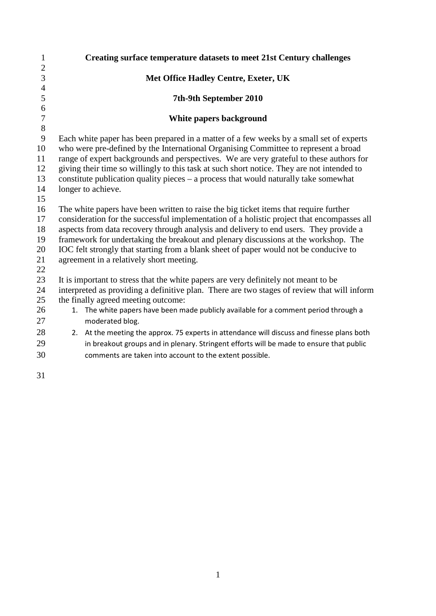| $\mathbf{1}$   |                                                                                             | <b>Creating surface temperature datasets to meet 21st Century challenges</b>                                                                                                   |
|----------------|---------------------------------------------------------------------------------------------|--------------------------------------------------------------------------------------------------------------------------------------------------------------------------------|
| $\sqrt{2}$     |                                                                                             |                                                                                                                                                                                |
| $\overline{3}$ |                                                                                             | <b>Met Office Hadley Centre, Exeter, UK</b>                                                                                                                                    |
| $\overline{4}$ |                                                                                             |                                                                                                                                                                                |
| 5              |                                                                                             | 7th-9th September 2010                                                                                                                                                         |
| 6              |                                                                                             |                                                                                                                                                                                |
| $\overline{7}$ | White papers background                                                                     |                                                                                                                                                                                |
| 8              |                                                                                             |                                                                                                                                                                                |
| 9<br>10        |                                                                                             | Each white paper has been prepared in a matter of a few weeks by a small set of experts<br>who were pre-defined by the International Organising Committee to represent a broad |
| 11             |                                                                                             | range of expert backgrounds and perspectives. We are very grateful to these authors for                                                                                        |
| 12             | giving their time so willingly to this task at such short notice. They are not intended to  |                                                                                                                                                                                |
| 13             | constitute publication quality pieces $-$ a process that would naturally take somewhat      |                                                                                                                                                                                |
| 14             | longer to achieve.                                                                          |                                                                                                                                                                                |
| 15             |                                                                                             |                                                                                                                                                                                |
| 16             | The white papers have been written to raise the big ticket items that require further       |                                                                                                                                                                                |
| 17             | consideration for the successful implementation of a holistic project that encompasses all  |                                                                                                                                                                                |
| 18             | aspects from data recovery through analysis and delivery to end users. They provide a       |                                                                                                                                                                                |
| 19             | framework for undertaking the breakout and plenary discussions at the workshop. The         |                                                                                                                                                                                |
| 20             | IOC felt strongly that starting from a blank sheet of paper would not be conducive to       |                                                                                                                                                                                |
| 21             |                                                                                             | agreement in a relatively short meeting.                                                                                                                                       |
| 22<br>23       |                                                                                             | It is important to stress that the white papers are very definitely not meant to be                                                                                            |
| 24             | interpreted as providing a definitive plan. There are two stages of review that will inform |                                                                                                                                                                                |
| 25             | the finally agreed meeting outcome:                                                         |                                                                                                                                                                                |
| 26             | 1.                                                                                          | The white papers have been made publicly available for a comment period through a                                                                                              |
| 27             |                                                                                             | moderated blog.                                                                                                                                                                |
| 28             |                                                                                             | 2. At the meeting the approx. 75 experts in attendance will discuss and finesse plans both                                                                                     |
| 29             |                                                                                             | in breakout groups and in plenary. Stringent efforts will be made to ensure that public                                                                                        |
| 30             |                                                                                             | comments are taken into account to the extent possible.                                                                                                                        |
|                |                                                                                             |                                                                                                                                                                                |
|                |                                                                                             |                                                                                                                                                                                |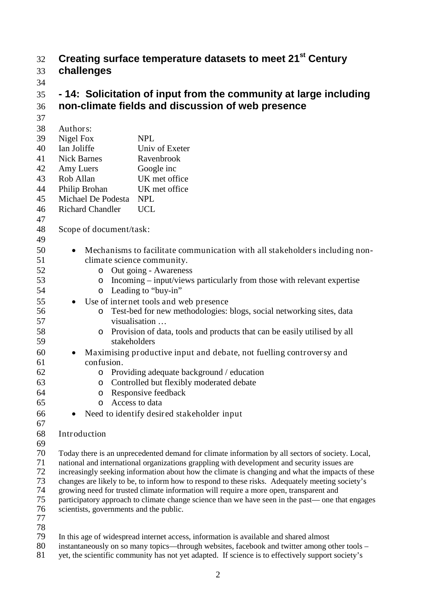# **Creating surface temperature datasets to meet 21st** 32 **Century**

- 33 **challenges**
- 34

# 35 **- 14: Solicitation of input from the community at large including**  36 **non-climate fields and discussion of web presence**

- 37 38 Authors: 39 Nigel Fox NPL 40 Ian Joliffe Univ of Exeter 41 Nick Barnes Ravenbrook 42 Amy Luers Google inc 43 Rob Allan UK met office<br>44 Philip Brohan UK met office 44 Philip Brohan 45 Michael De Podesta NPL 46 Richard Chandler UCL 47 48 Scope of document/task: 49 50 • Mechanisms to facilitate communication with all stakeholders including non-51 climate science community. 52 o Out going - Awareness<br>53 o Incoming - input/views 53 o Incoming – input/views particularly from those with relevant expertise<br>54 o Leading to "buv-in" 54 o Leading to "buy-in"<br>55 **J** Use of internet tools and w • Use of internet tools and web presence 56 o Test-bed for new methodologies: blogs, social networking sites, data visualisation... visualisation ... 58 o Provision of data, tools and products that can be easily utilised by all stakeholders stakeholders 60 • Maximising productive input and debate, not fuelling controversy and 61 confusion. 62 o Providing adequate background / education<br>63 controlled but flexibly moderated debate 63 o Controlled but flexibly moderated debate<br>64 o Responsive feedback 64 o Responsive feedback<br>65 o Access to data 65 o Access to data<br>66 e Need to identify desire • Need to identify desired stakeholder input 67 68 Introduction 69<br>70 70 Today there is an unprecedented demand for climate information by all sectors of society. Local,<br>71 national and international organizations grappling with development and security issues are 71 national and international organizations grappling with development and security issues are<br>72 increasingly seeking information about how the climate is changing and what the impacts of 72 increasingly seeking information about how the climate is changing and what the impacts of these<br>73 changes are likely to be, to inform how to respond to these risks. Adequately meeting society's 73 changes are likely to be, to inform how to respond to these risks. Adequately meeting society's growing need for trusted climate information will require a more open, transparent and 74 growing need for trusted climate information will require a more open, transparent and 75 participatory approach to climate change science than we have seen in the past— one that engages<br>76 scientists, governments and the public. scientists, governments and the public. 77 78 79 In this age of widespread internet access, information is available and shared almost<br>80 instantaneously on so many topics—through websites, facebook and twitter among c
- instantaneously on so many topics—through websites, facebook and twitter among other tools –
- 81 yet, the scientific community has not yet adapted. If science is to effectively support society's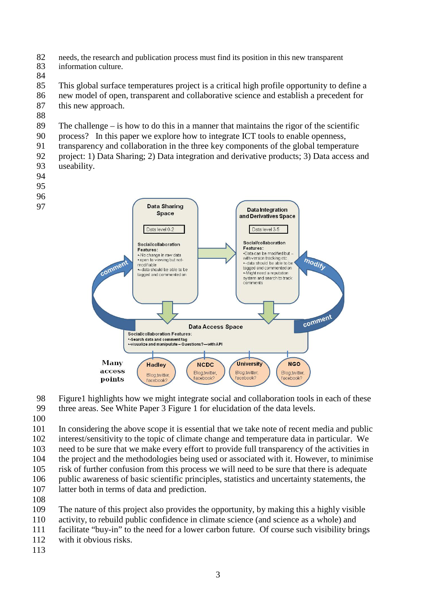- 82 needs, the research and publication process must find its position in this new transparent information culture. information culture.
- 

 This global surface temperatures project is a critical high profile opportunity to define a new model of open, transparent and collaborative science and establish a precedent for this new approach.

- 
- The challenge is how to do this in a manner that maintains the rigor of the scientific
- process? In this paper we explore how to integrate ICT tools to enable openness,
- transparency and collaboration in the three key components of the global temperature
- project: 1) Data Sharing; 2) Data integration and derivative products; 3) Data access and useability.
- 
- 
- 
- 



- Figure1 highlights how we might integrate social and collaboration tools in each of these
- three areas. See White Paper 3 Figure 1 for elucidation of the data levels.
- 

 In considering the above scope it is essential that we take note of recent media and public interest/sensitivity to the topic of climate change and temperature data in particular. We

need to be sure that we make every effort to provide full transparency of the activities in

- the project and the methodologies being used or associated with it. However, to minimise risk of further confusion from this process we will need to be sure that there is adequate
- public awareness of basic scientific principles, statistics and uncertainty statements, the
- latter both in terms of data and prediction.
- 
- The nature of this project also provides the opportunity, by making this a highly visible
- activity, to rebuild public confidence in climate science (and science as a whole) and
- facilitate "buy-in" to the need for a lower carbon future. Of course such visibility brings
- with it obvious risks.
-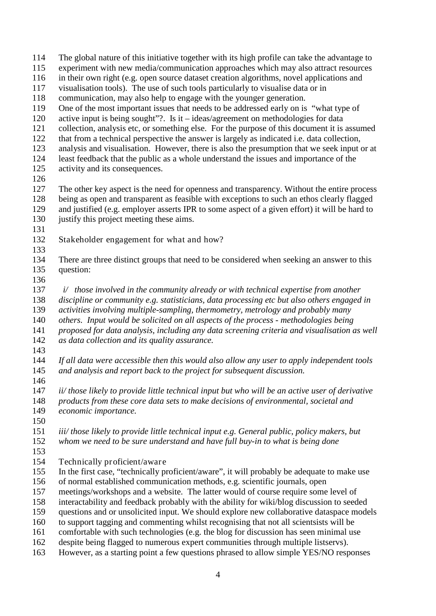The global nature of this initiative together with its high profile can take the advantage to experiment with new media/communication approaches which may also attract resources in their own right (e.g. open source dataset creation algorithms, novel applications and visualisation tools). The use of such tools particularly to visualise data or in communication, may also help to engage with the younger generation. One of the most important issues that needs to be addressed early on is "what type of active input is being sought"?. Is it – ideas/agreement on methodologies for data collection, analysis etc, or something else. For the purpose of this document it is assumed that from a technical perspective the answer is largely as indicated i.e. data collection,<br>123 analysis and visualisation. However, there is also the presumption that we seek input analysis and visualisation. However, there is also the presumption that we seek input or at least feedback that the public as a whole understand the issues and importance of the activity and its consequences. 126<br>127 The other key aspect is the need for openness and transparency. Without the entire process being as open and transparent as feasible with exceptions to such an ethos clearly flagged and justified (e.g. employer asserts IPR to some aspect of a given effort) it will be hard to justify this project meeting these aims. Stakeholder engagement for what and how? There are three distinct groups that need to be considered when seeking an answer to this question:  *i/ those involved in the community already or with technical expertise from another discipline or community e.g. statisticians, data processing etc but also others engaged in activities involving multiple-sampling, thermometry, metrology and probably many others. Input would be solicited on all aspects of the process - methodologies being proposed for data analysis, including any data screening criteria and visualisation as well*   $\alpha$ <sub>as</sub> data collection and its quality assurance. *If all data were accessible then this would also allow any user to apply independent tools and analysis and report back to the project for subsequent discussion. ii/ those likely to provide little technical input but who will be an active user of derivative products from these core data sets to make decisions of environmental, societal and economic importance. iii/ those likely to provide little technical input e.g. General public, policy makers, but whom we need to be sure understand and have full buy-in to what is being done* Technically proficient/aware In the first case, "technically proficient/aware", it will probably be adequate to make use of normal established communication methods, e.g. scientific journals, open meetings/workshops and a website. The latter would of course require some level of interactability and feedback probably with the ability for wiki/blog discussion to seeded questions and or unsolicited input. We should explore new collaborative dataspace models to support tagging and commenting whilst recognising that not all scientsists will be comfortable with such technologies (e.g. the blog for discussion has seen minimal use despite being flagged to numerous expert communities through multiple listservs). However, as a starting point a few questions phrased to allow simple YES/NO responses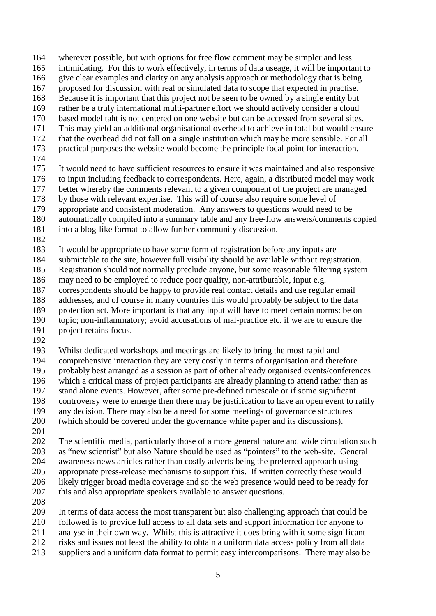wherever possible, but with options for free flow comment may be simpler and less

- intimidating. For this to work effectively, in terms of data useage, it will be important to
- give clear examples and clarity on any analysis approach or methodology that is being
- proposed for discussion with real or simulated data to scope that expected in practise.
- Because it is important that this project not be seen to be owned by a single entity but rather be a truly international multi-partner effort we should actively consider a cloud
- based model taht is not centered on one website but can be accessed from several sites.
- This may yield an additional organisational overhead to achieve in total but would ensure
- that the overhead did not fall on a single institution which may be more sensible. For all
- practical purposes the website would become the principle focal point for interaction.
- 

 It would need to have sufficient resources to ensure it was maintained and also responsive 176 to input including feedback to correspondents. Here, again, a distributed model may work<br>177 better whereby the comments relevant to a given component of the project are managed better whereby the comments relevant to a given component of the project are managed by those with relevant expertise. This will of course also require some level of appropriate and consistent moderation. Any answers to questions would need to be

- automatically compiled into a summary table and any free-flow answers/comments copied
- into a blog-like format to allow further community discussion.
- 

It would be appropriate to have some form of registration before any inputs are

submittable to the site, however full visibility should be available without registration.

Registration should not normally preclude anyone, but some reasonable filtering system

- may need to be employed to reduce poor quality, non-attributable, input e.g.
- correspondents should be happy to provide real contact details and use regular email addresses, and of course in many countries this would probably be subject to the data
- 189 protection act. More important is that any input will have to meet certain norms: be on<br>190 topic: non-inflammatory: avoid accusations of mal-practice etc. if we are to ensure the topic; non-inflammatory; avoid accusations of mal-practice etc. if we are to ensure the
- project retains focus.
- 

 Whilst dedicated workshops and meetings are likely to bring the most rapid and comprehensive interaction they are very costly in terms of organisation and therefore probably best arranged as a session as part of other already organised events/conferences which a critical mass of project participants are already planning to attend rather than as stand alone events. However, after some pre-defined timescale or if some significant controversy were to emerge then there may be justification to have an open event to ratify any decision. There may also be a need for some meetings of governance structures (which should be covered under the governance white paper and its discussions).

 The scientific media, particularly those of a more general nature and wide circulation such 203 as "new scientist" but also Nature should be used as "pointers" to the web-site. General awareness news articles rather than costly adverts being the preferred approach using awareness news articles rather than costly adverts being the preferred approach using appropriate press-release mechanisms to support this. If written correctly these would likely trigger broad media coverage and so the web presence would need to be ready for

- this and also appropriate speakers available to answer questions.
- 

In terms of data access the most transparent but also challenging approach that could be

- followed is to provide full access to all data sets and support information for anyone to
- analyse in their own way. Whilst this is attractive it does bring with it some significant
- risks and issues not least the ability to obtain a uniform data access policy from all data
- suppliers and a uniform data format to permit easy intercomparisons. There may also be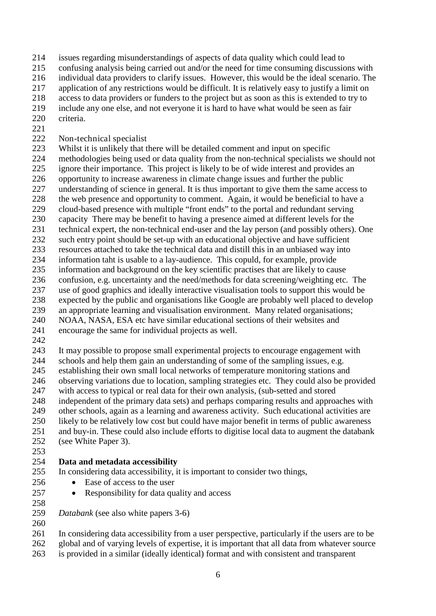- issues regarding misunderstandings of aspects of data quality which could lead to
- confusing analysis being carried out and/or the need for time consuming discussions with
- individual data providers to clarify issues. However, this would be the ideal scenario. The
- application of any restrictions would be difficult. It is relatively easy to justify a limit on
- access to data providers or funders to the project but as soon as this is extended to try to
- include any one else, and not everyone it is hard to have what would be seen as fair criteria.
- 
- 222 Non-technical specialist<br>223 Whilst it is unlikely that t
- Whilst it is unlikely that there will be detailed comment and input on specific
- methodologies being used or data quality from the non-technical specialists we should not ignore their importance. This project is likely to be of wide interest and provides an
- 
- 226 opportunity to increase awareness in climate change issues and further the public<br>227 understanding of science in general. It is thus important to give them the same ace 227 understanding of science in general. It is thus important to give them the same access to<br>228 the web presence and opportunity to comment. Again, it would be beneficial to have a
- the web presence and opportunity to comment. Again, it would be beneficial to have a
- cloud-based presence with multiple "front ends" to the portal and redundant serving
- capacity There may be benefit to having a presence aimed at different levels for the
- 231 technical expert, the non-technical end-user and the lay person (and possibly others). One such entry point should be set-up with an educational objective and have sufficient
- resources attached to take the technical data and distill this in an unbiased way into
- information taht is usable to a lay-audience. This copuld, for example, provide
- information and background on the key scientific practises that are likely to cause
- confusion, e.g. uncertainty and the need/methods for data screening/weighting etc. The
- 
- 237 use of good graphics and ideally interactive visualisation tools to support this would be<br>238 expected by the public and organisations like Google are probably well placed to develocal 238 expected by the public and organisations like Google are probably well placed to develop<br>239 an appropriate learning and visualisation environment. Many related organisations:
- an appropriate learning and visualisation environment. Many related organisations:
- NOAA, NASA, ESA etc have similar educational sections of their websites and
- encourage the same for individual projects as well.
- 
- It may possible to propose small experimental projects to encourage engagement with schools and help them gain an understanding of some of the sampling issues, e.g. establishing their own small local networks of temperature monitoring stations and observing variations due to location, sampling strategies etc. They could also be provided with access to typical or real data for their own analysis, (sub-setted and stored independent of the primary data sets) and perhaps comparing results and approaches with other schools, again as a learning and awareness activity. Such educational activities are
- 250 likely to be relatively low cost but could have major benefit in terms of public awareness<br>251 and buy-in. These could also include efforts to digitise local data to augment the databank and buy-in. These could also include efforts to digitise local data to augment the databank (see White Paper 3).
- 

### **Data and metadata accessibility**

- In considering data accessibility, it is important to consider two things,
- 256 Ease of access to the user
- Responsibility for data quality and access
- 
- *Databank* (see also white papers 3-6)
- $\frac{260}{261}$

In considering data accessibility from a user perspective, particularly if the users are to be global and of varying levels of expertise, it is important that all data from whatever source

is provided in a similar (ideally identical) format and with consistent and transparent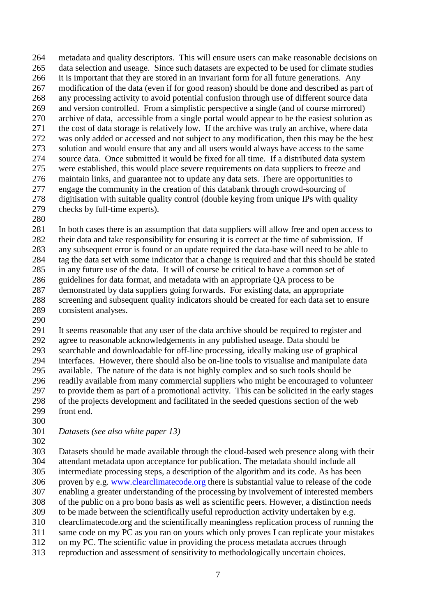metadata and quality descriptors. This will ensure users can make reasonable decisions on data selection and useage. Since such datasets are expected to be used for climate studies 266 it is important that they are stored in an invariant form for all future generations. Any modification of the data (even if for good reason) should be done and described as part of any processing activity to avoid potential confusion through use of different source data and version controlled. From a simplistic perspective a single (and of course mirrored) archive of data, accessible from a single portal would appear to be the easiest solution as the cost of data storage is relatively low. If the archive was truly an archive, where data was only added or accessed and not subject to any modification, then this may be the best solution and would ensure that any and all users would always have access to the same source data. Once submitted it would be fixed for all time. If a distributed data system were established, this would place severe requirements on data suppliers to freeze and 276 maintain links, and guarantee not to update any data sets. There are opportunities to<br>277 engage the community in the creation of this databank through crowd-sourcing of 277 engage the community in the creation of this databank through crowd-sourcing of<br>278 digitisation with suitable quality control (double keving from unique IPs with qual digitisation with suitable quality control (double keying from unique IPs with quality checks by full-time experts).

 In both cases there is an assumption that data suppliers will allow free and open access to their data and take responsibility for ensuring it is correct at the time of submission. If any subsequent error is found or an update required the data-base will need to be able to tag the data set with some indicator that a change is required and that this should be stated in any future use of the data. It will of course be critical to have a common set of guidelines for data format, and metadata with an appropriate QA process to be demonstrated by data suppliers going forwards. For existing data, an appropriate screening and subsequent quality indicators should be created for each data set to ensure consistent analyses.

291 It seems reasonable that any user of the data archive should be required to register and agree to reasonable acknowledgements in any published useage. Data should be agree to reasonable acknowledgements in any published useage. Data should be searchable and downloadable for off-line processing, ideally making use of graphical interfaces. However, there should also be on-line tools to visualise and manipulate data available. The nature of the data is not highly complex and so such tools should be readily available from many commercial suppliers who might be encouraged to volunteer to provide them as part of a promotional activity. This can be solicited in the early stages of the projects development and facilitated in the seeded questions section of the web front end.

- 
- *Datasets (see also white paper 13)*
- 

 Datasets should be made available through the cloud-based web presence along with their attendant metadata upon acceptance for publication. The metadata should include all intermediate processing steps, a description of the algorithm and its code. As has been proven by e.g. [www.clearclimatecode.org](http://www.clearclimatecode.org/) there is substantial value to release of the code enabling a greater understanding of the processing by involvement of interested members of the public on a pro bono basis as well as scientific peers. However, a distinction needs to be made between the scientifically useful reproduction activity undertaken by e.g. clearclimatecode.org and the scientifically meaningless replication process of running the same code on my PC as you ran on yours which only proves I can replicate your mistakes on my PC. The scientific value in providing the process metadata accrues through reproduction and assessment of sensitivity to methodologically uncertain choices.